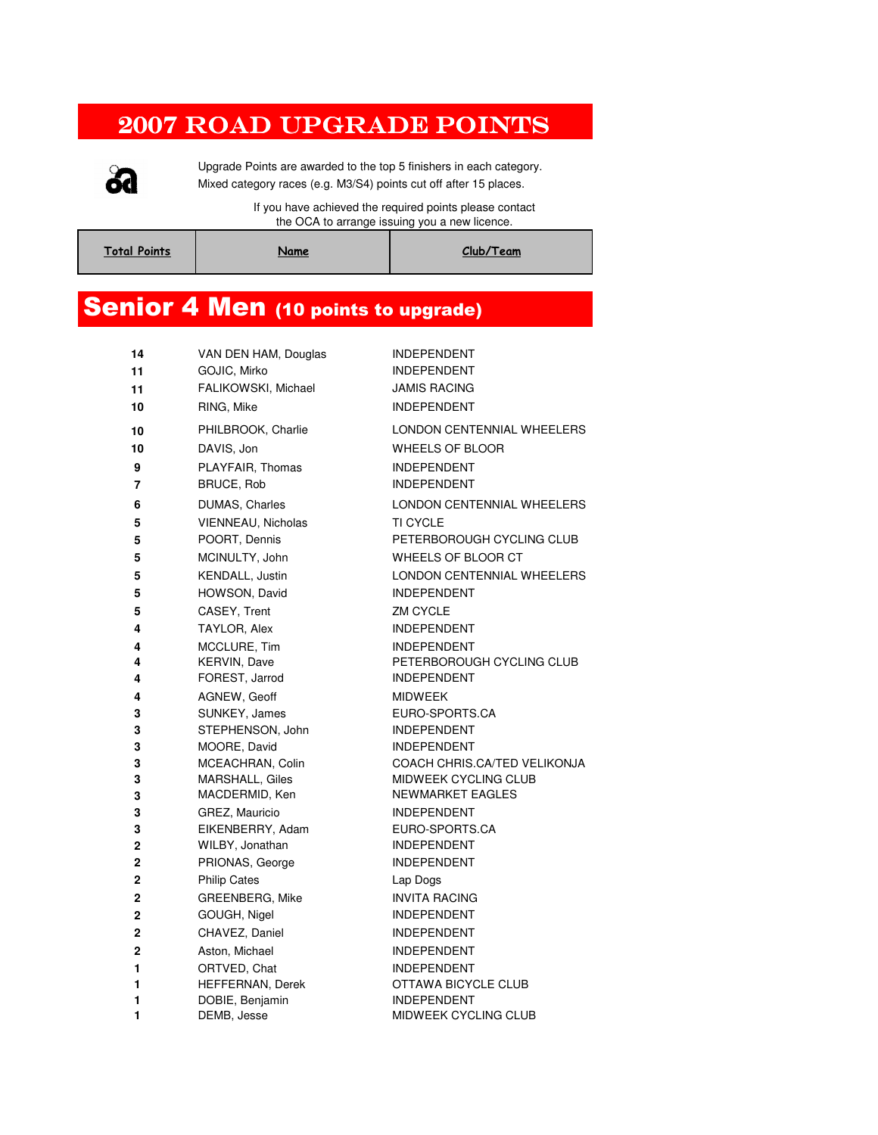#### 2007 ROAD UPGRADE POINTS



Upgrade Points are awarded to the top 5 finishers in each category. Mixed category races (e.g. M3/S4) points cut off after 15 places.

> If you have achieved the required points please contact the OCA to arrange issuing you a new licence.

| <b>Total Points</b> | Name | Club/Team |
|---------------------|------|-----------|
|                     |      |           |

#### Senior 4 Men (10 points to upgrade)

| 14                         | VAN DEN HAM, Douglas               | <b>INDEPENDENT</b>                       |
|----------------------------|------------------------------------|------------------------------------------|
| 11                         | GOJIC, Mirko                       | INDEPENDENT                              |
| 11                         | FALIKOWSKI, Michael                | <b>JAMIS RACING</b>                      |
| 10                         | RING, Mike                         | <b>INDEPENDENT</b>                       |
| 10                         | PHILBROOK, Charlie                 | LONDON CENTENNIAL WHEELERS               |
| 10                         | DAVIS, Jon                         | <b>WHEELS OF BLOOR</b>                   |
| 9                          | PLAYFAIR, Thomas                   | <b>INDEPENDENT</b>                       |
| 7                          | BRUCE, Rob                         | <b>INDEPENDENT</b>                       |
| 6                          | DUMAS, Charles                     | LONDON CENTENNIAL WHEELERS               |
| 5                          | VIENNEAU, Nicholas                 | <b>TI CYCLE</b>                          |
| 5                          | POORT, Dennis                      | PETERBOROUGH CYCLING CLUB                |
| 5                          | MCINULTY, John                     | <b>WHEELS OF BLOOR CT</b>                |
| 5                          | KENDALL, Justin                    | LONDON CENTENNIAL WHEELERS               |
| 5                          | HOWSON, David                      | <b>INDEPENDENT</b>                       |
| 5                          | <b>CASEY, Trent</b>                | ZM CYCLE                                 |
| 4                          | TAYLOR, Alex                       | <b>INDEPENDENT</b>                       |
| 4                          | MCCLURE, Tim                       | <b>INDEPENDENT</b>                       |
| 4                          | <b>KERVIN, Dave</b>                | PETERBOROUGH CYCLING CLUB                |
| 4                          | FOREST, Jarrod                     | <b>INDEPENDENT</b>                       |
| 4                          | AGNEW, Geoff                       | <b>MIDWEEK</b>                           |
| 3                          | SUNKEY, James                      | EURO-SPORTS.CA                           |
| 3                          | STEPHENSON, John                   | <b>INDEPENDENT</b>                       |
| 3                          | MOORE, David                       | <b>INDEPENDENT</b>                       |
| 3                          | MCEACHRAN, Colin                   | COACH CHRIS.CA/TED VELIKONJA             |
| 3<br>3                     | MARSHALL, Giles<br>MACDERMID, Ken  | MIDWEEK CYCLING CLUB<br>NEWMARKET EAGLES |
| 3                          | GREZ, Mauricio                     | <b>INDEPENDENT</b>                       |
| 3                          | EIKENBERRY, Adam                   | EURO-SPORTS.CA                           |
| $\mathbf 2$                |                                    |                                          |
|                            |                                    | <b>INDEPENDENT</b>                       |
| $\mathbf 2$                | WILBY, Jonathan<br>PRIONAS, George | <b>INDEPENDENT</b>                       |
|                            | <b>Philip Cates</b>                |                                          |
| $\mathbf 2$<br>$\mathbf 2$ | GREENBERG, Mike                    | Lap Dogs<br><b>INVITA RACING</b>         |
|                            | GOUGH, Nigel                       | <b>INDEPENDENT</b>                       |
| $\mathbf 2$<br>2           | CHAVEZ, Daniel                     | <b>INDEPENDENT</b>                       |
| $\mathbf 2$                | Aston, Michael                     | <b>INDEPENDENT</b>                       |
| 1                          | ORTVED, Chat                       | <b>INDEPENDENT</b>                       |
| 1                          | HEFFERNAN, Derek                   | OTTAWA BICYCLE CLUB                      |
| 1                          | DOBIE, Benjamin                    | <b>INDEPENDENT</b>                       |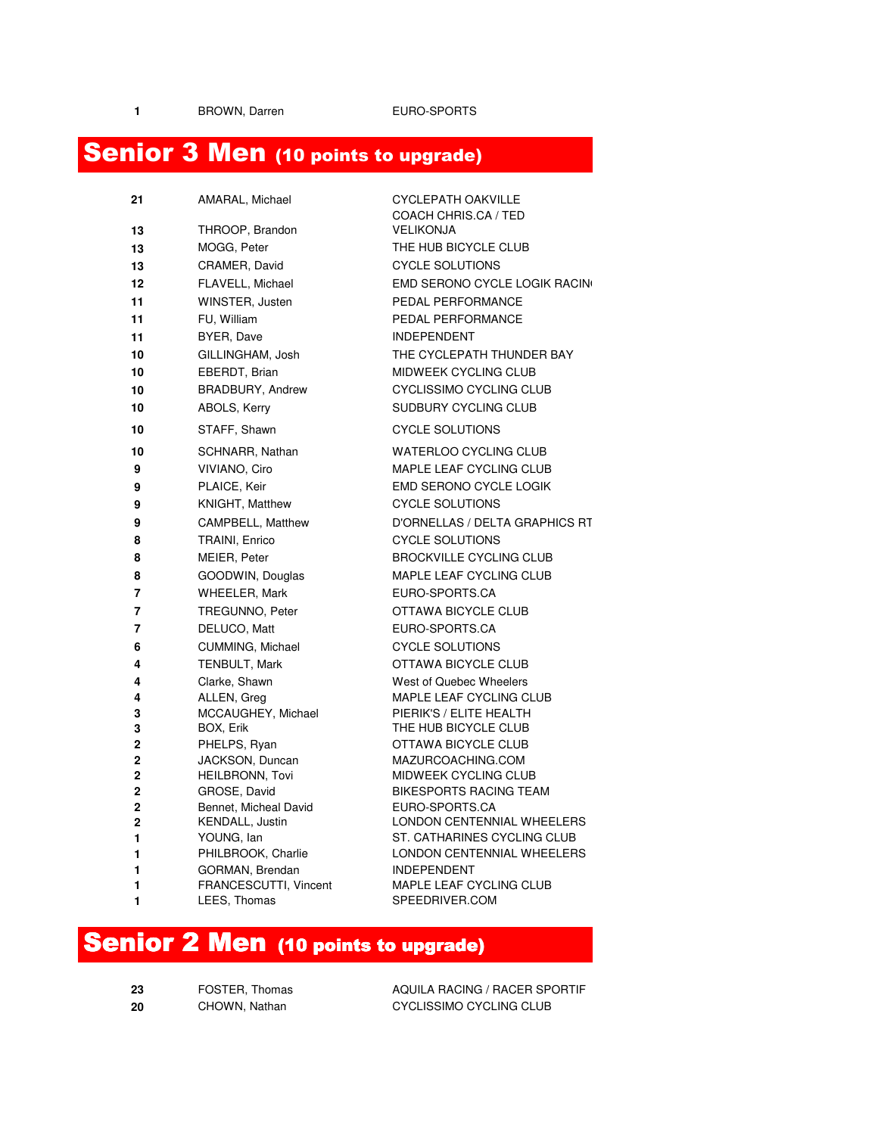1 BROWN, Darren **EURO-SPORTS** 

# Senior 3 Men (10 points to upgrade)

| 21             | AMARAL, Michael                           | <b>CYCLEPATH OAKVILLE</b>                        |
|----------------|-------------------------------------------|--------------------------------------------------|
|                |                                           | COACH CHRIS.CA / TED                             |
| 13             | THROOP, Brandon                           | <b>VELIKONJA</b>                                 |
| 13             | MOGG, Peter                               | THE HUB BICYCLE CLUB                             |
| 13             | CRAMER, David                             | <b>CYCLE SOLUTIONS</b>                           |
| 12             | FLAVELL, Michael                          | EMD SERONO CYCLE LOGIK RACING                    |
| 11             | WINSTER, Justen                           | PEDAL PERFORMANCE                                |
| 11             | FU, William                               | PEDAL PERFORMANCE                                |
| 11             | BYER, Dave                                | <b>INDEPENDENT</b>                               |
| 10             | GILLINGHAM, Josh                          | THE CYCLEPATH THUNDER BAY                        |
| 10             | EBERDT, Brian                             | <b>MIDWEEK CYCLING CLUB</b>                      |
| 10             | <b>BRADBURY, Andrew</b>                   | CYCLISSIMO CYCLING CLUB                          |
| 10             | ABOLS, Kerry                              | SUDBURY CYCLING CLUB                             |
| 10             | STAFF, Shawn                              | <b>CYCLE SOLUTIONS</b>                           |
| 10             | SCHNARR, Nathan                           | <b>WATERLOO CYCLING CLUB</b>                     |
| 9              | VIVIANO, Ciro                             | MAPLE LEAF CYCLING CLUB                          |
| 9              | PLAICE, Keir                              | <b>EMD SERONO CYCLE LOGIK</b>                    |
| 9              | KNIGHT, Matthew                           | <b>CYCLE SOLUTIONS</b>                           |
| 9              | CAMPBELL, Matthew                         | D'ORNELLAS / DELTA GRAPHICS RT                   |
| 8              | TRAINI, Enrico                            | <b>CYCLE SOLUTIONS</b>                           |
| 8              | MEIER, Peter                              | <b>BROCKVILLE CYCLING CLUB</b>                   |
| 8              | GOODWIN, Douglas                          | MAPLE LEAF CYCLING CLUB                          |
| $\overline{7}$ | <b>WHEELER, Mark</b>                      | EURO-SPORTS.CA                                   |
| $\overline{7}$ | TREGUNNO, Peter                           | OTTAWA BICYCLE CLUB                              |
| $\overline{7}$ | DELUCO, Matt                              | EURO-SPORTS.CA                                   |
| 6              | CUMMING, Michael                          | <b>CYCLE SOLUTIONS</b>                           |
| 4              | <b>TENBULT, Mark</b>                      | OTTAWA BICYCLE CLUB                              |
| 4              | Clarke, Shawn                             | West of Quebec Wheelers                          |
| 4              | ALLEN, Greg                               | MAPLE LEAF CYCLING CLUB                          |
| 3              | MCCAUGHEY, Michael                        | PIERIK'S / ELITE HEALTH                          |
| 3              | BOX, Erik                                 | THE HUB BICYCLE CLUB                             |
| 2              | PHELPS, Ryan                              | OTTAWA BICYCLE CLUB                              |
| 2<br>2         | JACKSON, Duncan<br><b>HEILBRONN, Tovi</b> | MAZURCOACHING.COM<br><b>MIDWEEK CYCLING CLUB</b> |
| 2              | GROSE, David                              | <b>BIKESPORTS RACING TEAM</b>                    |
| $\overline{2}$ | Bennet, Micheal David                     | EURO-SPORTS.CA                                   |
| 2              | KENDALL, Justin                           | LONDON CENTENNIAL WHEELERS                       |
| 1              | YOUNG, lan                                | ST. CATHARINES CYCLING CLUB                      |
| 1              | PHILBROOK, Charlie                        | LONDON CENTENNIAL WHEELERS                       |
| 1              | GORMAN, Brendan                           | <b>INDEPENDENT</b>                               |
| 1              | FRANCESCUTTI, Vincent                     | <b>MAPLE LEAF CYCLING CLUB</b>                   |
| 1              | LEES, Thomas                              | SPEEDRIVER.COM                                   |

### Senior 2 Men (10 points to upgrade)

| -23 | FOSTER, Thomas | AQUILA RACING / RACER SP |
|-----|----------------|--------------------------|
| -20 | CHOWN, Nathan  | CYCLISSIMO CYCLING CLUB  |

23 FOSTER, Thomas **AQUILA RACING / RACER SPORTIF**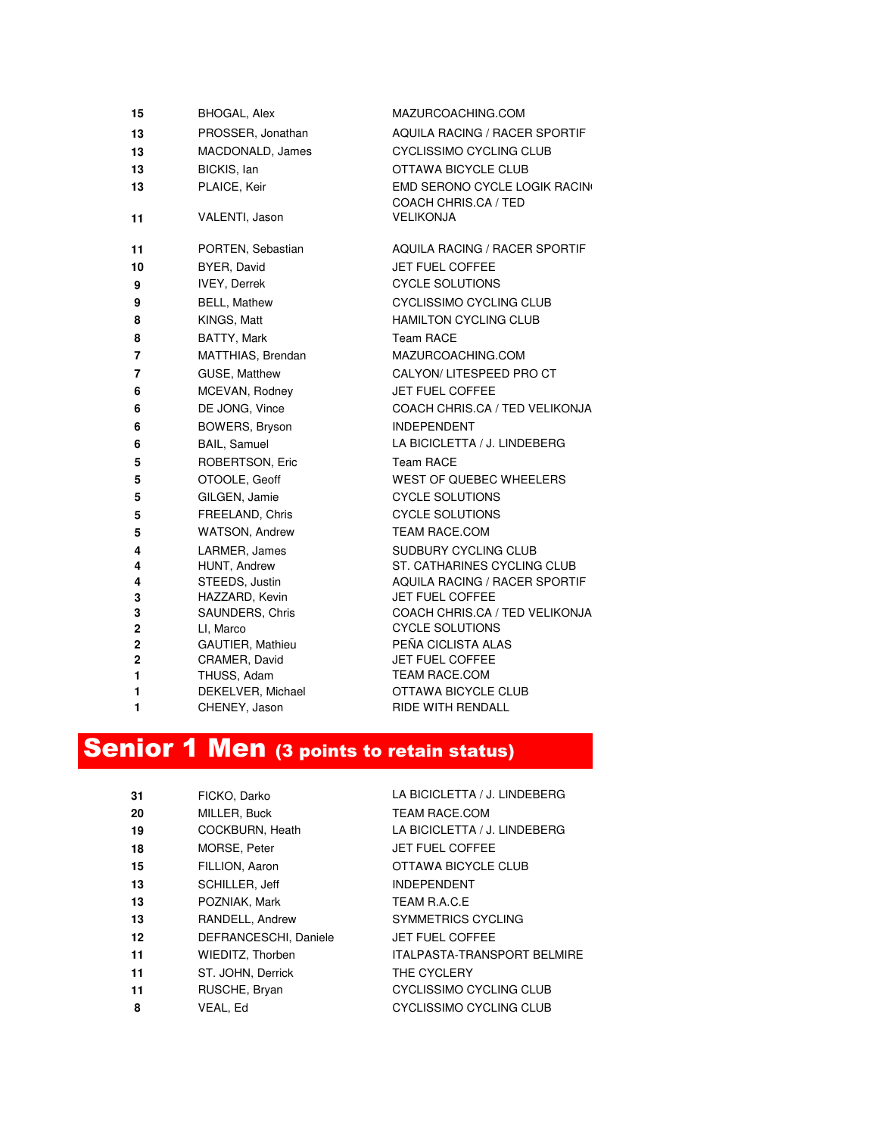| 15             | <b>BHOGAL, Alex</b>               | MAZURCOACHING.COM                                 |
|----------------|-----------------------------------|---------------------------------------------------|
| 13             | PROSSER, Jonathan                 | <b>AQUILA RACING / RACER SPORTIF</b>              |
| 13             | MACDONALD, James                  | <b>CYCLISSIMO CYCLING CLUB</b>                    |
| 13             | BICKIS, lan                       | OTTAWA BICYCLE CLUB                               |
| 13             | PLAICE, Keir                      | EMD SERONO CYCLE LOGIK RACING                     |
|                |                                   | COACH CHRIS.CA / TED                              |
| 11             | VALENTI, Jason                    | <b>VELIKONJA</b>                                  |
| 11             | PORTEN, Sebastian                 | AQUILA RACING / RACER SPORTIF                     |
| 10             | BYER, David                       | JET FUEL COFFEE                                   |
| 9              | <b>IVEY, Derrek</b>               | <b>CYCLE SOLUTIONS</b>                            |
| 9              | <b>BELL, Mathew</b>               | CYCLISSIMO CYCLING CLUB                           |
| 8              | KINGS, Matt                       | <b>HAMILTON CYCLING CLUB</b>                      |
| 8              | BATTY, Mark                       | <b>Team RACE</b>                                  |
| 7              | MATTHIAS, Brendan                 | MAZURCOACHING.COM                                 |
| $\overline{7}$ | GUSE, Matthew                     | CALYON/ LITESPEED PRO CT                          |
| 6              | MCEVAN, Rodney                    | JET FUEL COFFEE                                   |
| 6              | DE JONG, Vince                    | COACH CHRIS.CA / TED VELIKONJA                    |
| 6              | BOWERS, Bryson                    | <b>INDEPENDENT</b>                                |
| 6              | <b>BAIL, Samuel</b>               | LA BICICLETTA / J. LINDEBERG                      |
| 5              | ROBERTSON, Eric                   | Team RACE                                         |
| 5              | OTOOLE, Geoff                     | WEST OF QUEBEC WHEELERS                           |
| 5              | GILGEN, Jamie                     | <b>CYCLE SOLUTIONS</b>                            |
| 5              | FREELAND, Chris                   | <b>CYCLE SOLUTIONS</b>                            |
| 5              | <b>WATSON, Andrew</b>             | <b>TEAM RACE.COM</b>                              |
| 4              | LARMER, James                     | SUDBURY CYCLING CLUB                              |
| 4              | HUNT, Andrew                      | ST. CATHARINES CYCLING CLUB                       |
| 4              | STEEDS, Justin                    | AQUILA RACING / RACER SPORTIF                     |
| 3<br>3         | HAZZARD, Kevin<br>SAUNDERS, Chris | JET FUEL COFFEE<br>COACH CHRIS.CA / TED VELIKONJA |
| $\mathbf 2$    | LI, Marco                         | <b>CYCLE SOLUTIONS</b>                            |
| $\overline{2}$ | GAUTIER, Mathieu                  | PEÑA CICLISTA ALAS                                |
| $\mathbf 2$    | CRAMER, David                     | JET FUEL COFFEE                                   |
| 1              | THUSS, Adam                       | <b>TEAM RACE.COM</b>                              |
| 1              | DEKELVER, Michael                 | OTTAWA BICYCLE CLUB                               |
| $\blacksquare$ | CHENEY, Jason                     | <b>RIDE WITH RENDALL</b>                          |

# **Senior 1 Men** (3 points to retain status)

| 31 | FICKO, Darko          | LA BICICLETTA / J. LINDEBERG       |
|----|-----------------------|------------------------------------|
| 20 | MILLER, Buck          | <b>TEAM RACE.COM</b>               |
| 19 | COCKBURN, Heath       | LA BICICLETTA / J. LINDEBERG       |
| 18 | MORSE, Peter          | <b>JET FUEL COFFEE</b>             |
| 15 | FILLION, Aaron        | OTTAWA BICYCLE CLUB                |
| 13 | SCHILLER, Jeff        | <b>INDEPENDENT</b>                 |
| 13 | POZNIAK, Mark         | TEAM R.A.C.E                       |
| 13 | RANDELL, Andrew       | <b>SYMMETRICS CYCLING</b>          |
| 12 | DEFRANCESCHI, Daniele | <b>JET FUEL COFFEE</b>             |
| 11 | WIEDITZ, Thorben      | <b>ITALPASTA-TRANSPORT BELMIRE</b> |
| 11 | ST. JOHN, Derrick     | THE CYCLERY                        |
| 11 | RUSCHE, Bryan         | CYCLISSIMO CYCLING CLUB            |
| 8  | VEAL, Ed              | CYCLISSIMO CYCLING CLUB            |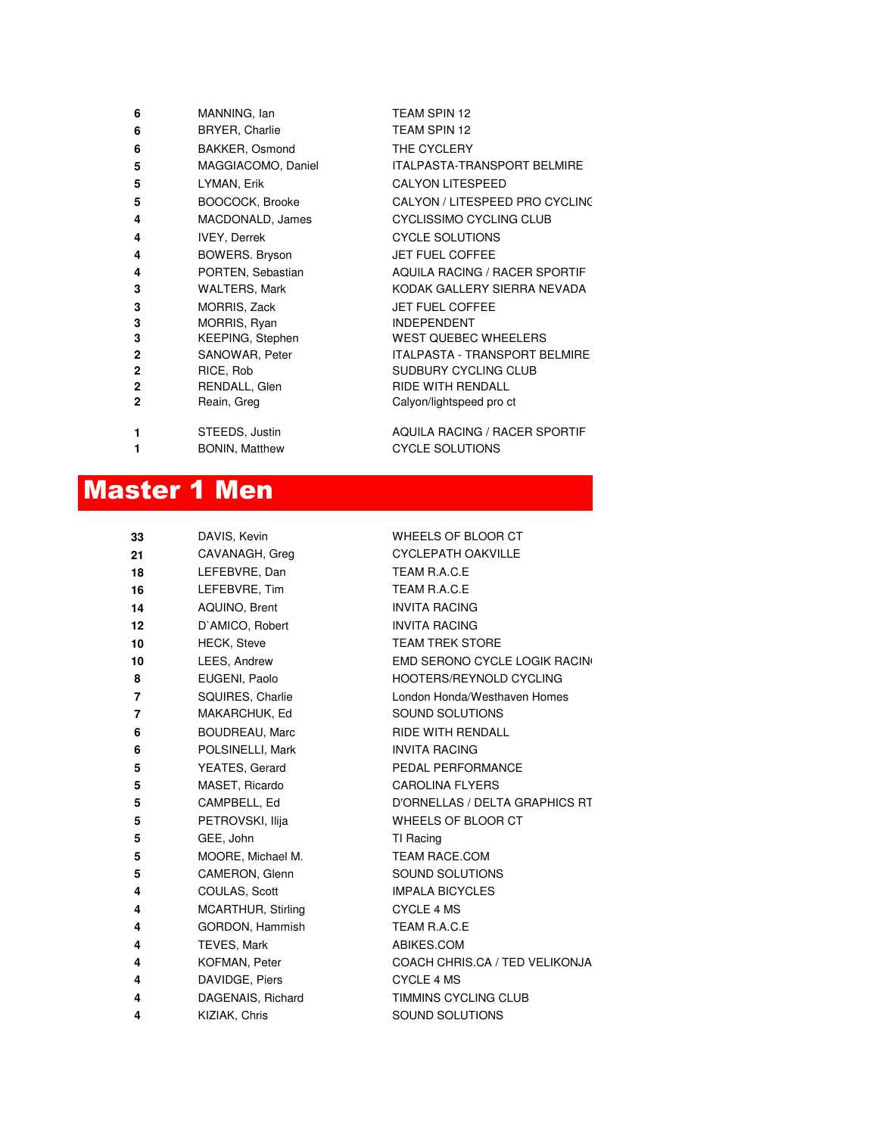| 6            | MANNING, Ian            | TEAM SPIN 12                         |
|--------------|-------------------------|--------------------------------------|
| 6            | <b>BRYER, Charlie</b>   | TEAM SPIN 12                         |
| 6            | BAKKER, Osmond          | THE CYCLERY                          |
| 5            | MAGGIACOMO, Daniel      | <b>ITALPASTA-TRANSPORT BELMIRE</b>   |
| 5            | LYMAN, Erik             | <b>CALYON LITESPEED</b>              |
| 5            | BOOCOCK, Brooke         | CALYON / LITESPEED PRO CYCLING       |
| 4            | MACDONALD, James        | CYCLISSIMO CYCLING CLUB              |
| 4            | <b>IVEY, Derrek</b>     | <b>CYCLE SOLUTIONS</b>               |
| 4            | <b>BOWERS. Bryson</b>   | <b>JET FUEL COFFEE</b>               |
| 4            | PORTEN, Sebastian       | <b>AQUILA RACING / RACER SPORTIF</b> |
| 3            | <b>WALTERS, Mark</b>    | KODAK GALLERY SIERRA NEVADA          |
| 3            | MORRIS, Zack            | <b>JET FUEL COFFEE</b>               |
| 3            | MORRIS, Ryan            | <b>INDEPENDENT</b>                   |
| 3            | <b>KEEPING, Stephen</b> | <b>WEST QUEBEC WHEELERS</b>          |
| $\mathbf{2}$ | SANOWAR, Peter          | <b>ITALPASTA - TRANSPORT BELMIRE</b> |
| $\mathbf{2}$ | RICE, Rob               | SUDBURY CYCLING CLUB                 |
| $\mathbf{2}$ | RENDALL, Glen           | <b>RIDE WITH RENDALL</b>             |
| $\mathbf{2}$ | Reain, Greg             | Calyon/lightspeed pro ct             |
| 1            | STEEDS, Justin          | <b>AQUILA RACING / RACER SPORTIF</b> |
| 1            | <b>BONIN, Matthew</b>   | <b>CYCLE SOLUTIONS</b>               |

### Master 1 Men

| 33 | DAVIS, Kevin          | WHEELS OF BLOOR CT             |
|----|-----------------------|--------------------------------|
| 21 | CAVANAGH, Greg        | <b>CYCLEPATH OAKVILLE</b>      |
| 18 | LEFEBVRE, Dan         | TEAM R.A.C.E                   |
| 16 | LEFEBVRE, Tim         | TEAM R.A.C.E                   |
| 14 | AQUINO, Brent         | <b>INVITA RACING</b>           |
| 12 | D'AMICO, Robert       | <b>INVITA RACING</b>           |
| 10 | <b>HECK, Steve</b>    | <b>TEAM TREK STORE</b>         |
| 10 | LEES, Andrew          | EMD SERONO CYCLE LOGIK RACING  |
| 8  | EUGENI, Paolo         | HOOTERS/REYNOLD CYCLING        |
| 7  | SQUIRES, Charlie      | London Honda/Westhaven Homes   |
| 7  | MAKARCHUK, Ed         | SOUND SOLUTIONS                |
| 6  | <b>BOUDREAU, Marc</b> | <b>RIDE WITH RENDALL</b>       |
| 6  | POLSINELLI, Mark      | <b>INVITA RACING</b>           |
| 5  | YEATES, Gerard        | PEDAL PERFORMANCE              |
| 5  | MASET, Ricardo        | <b>CAROLINA FLYERS</b>         |
| 5  | CAMPBELL, Ed          | D'ORNELLAS / DELTA GRAPHICS RT |
| 5  | PETROVSKI, Ilija      | WHEELS OF BLOOR CT             |
| 5  | GEE, John             | TI Racing                      |
| 5  | MOORE, Michael M.     | <b>TEAM RACE.COM</b>           |
| 5  | CAMERON, Glenn        | SOUND SOLUTIONS                |
| 4  | COULAS, Scott         | <b>IMPALA BICYCLES</b>         |
| 4  | MCARTHUR, Stirling    | <b>CYCLE 4 MS</b>              |
| 4  | GORDON, Hammish       | TEAM R.A.C.E                   |
| 4  | TEVES, Mark           | ABIKES.COM                     |
| 4  | KOFMAN, Peter         | COACH CHRIS.CA / TED VELIKONJA |
| 4  | DAVIDGE, Piers        | <b>CYCLE 4 MS</b>              |
| 4  | DAGENAIS, Richard     | TIMMINS CYCLING CLUB           |
| 4  | KIZIAK, Chris         | SOUND SOLUTIONS                |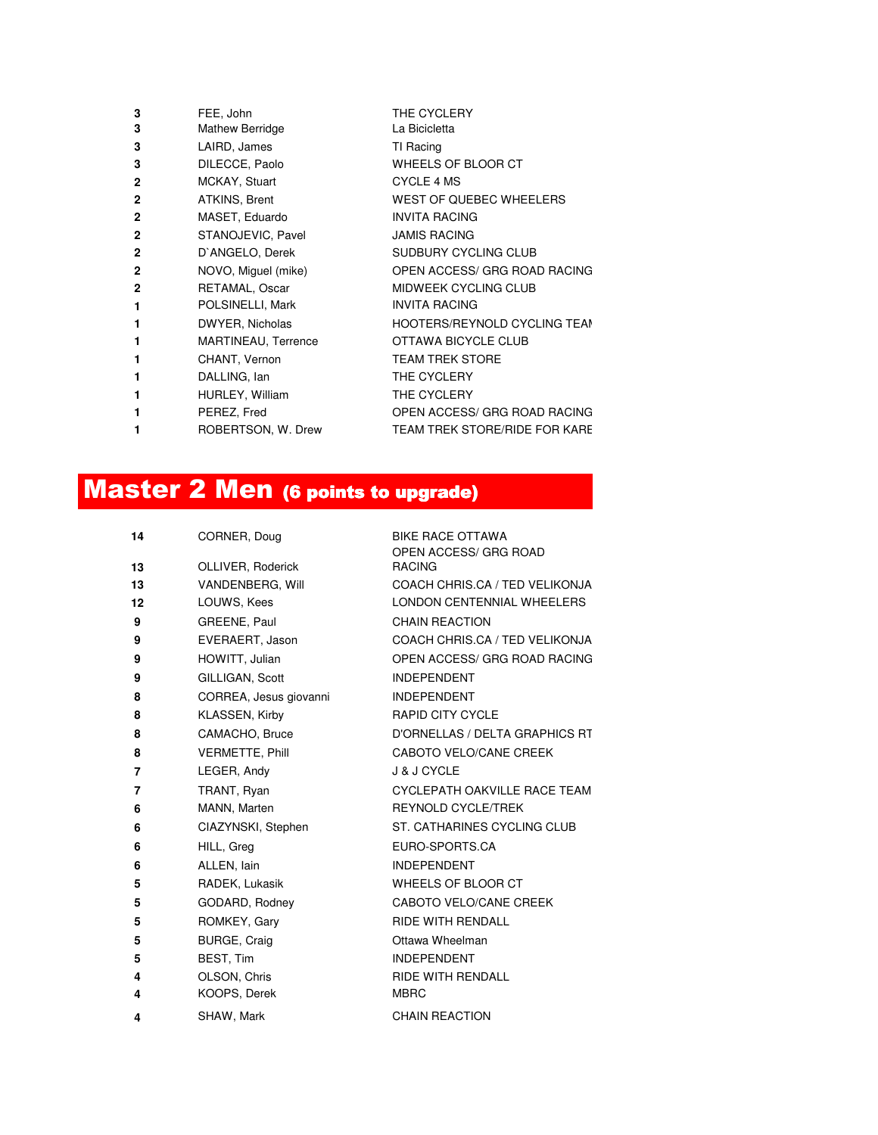| 3            | FEE, John           | THE CYCLERY                         |
|--------------|---------------------|-------------------------------------|
| 3            | Mathew Berridge     | La Bicicletta                       |
| 3            | LAIRD, James        | TI Racing                           |
| 3            | DILECCE, Paolo      | WHEELS OF BLOOR CT                  |
| $\mathbf{2}$ | MCKAY, Stuart       | <b>CYCLE 4 MS</b>                   |
| $\mathbf{2}$ | ATKINS, Brent       | WEST OF QUEBEC WHEELERS             |
| $\mathbf{2}$ | MASET, Eduardo      | <b>INVITA RACING</b>                |
| $\mathbf{2}$ | STANOJEVIC, Pavel   | <b>JAMIS RACING</b>                 |
| $\mathbf{2}$ | D'ANGELO, Derek     | SUDBURY CYCLING CLUB                |
| $\mathbf{2}$ | NOVO, Miguel (mike) | OPEN ACCESS/ GRG ROAD RACING        |
| $\mathbf{2}$ | RETAMAL, Oscar      | <b>MIDWEEK CYCLING CLUB</b>         |
| 1            | POLSINELLI, Mark    | <b>INVITA RACING</b>                |
| 1            | DWYER, Nicholas     | <b>HOOTERS/REYNOLD CYCLING TEAN</b> |
| 1            | MARTINEAU, Terrence | OTTAWA BICYCLE CLUB                 |
| 1            | CHANT, Vernon       | <b>TEAM TREK STORE</b>              |
| 1            | DALLING, Ian        | THE CYCLERY                         |
| 1            | HURLEY, William     | THE CYCLERY                         |
| 1            | PEREZ, Fred         | OPEN ACCESS/ GRG ROAD RACING        |
| 1            | ROBERTSON, W. Drew  | TEAM TREK STORE/RIDE FOR KARE       |
|              |                     |                                     |

## **Master 2 Men (6 points to upgrade)**

| 14 | CORNER, Doug           | <b>BIKE RACE OTTAWA</b><br>OPEN ACCESS/ GRG ROAD |
|----|------------------------|--------------------------------------------------|
| 13 | OLLIVER, Roderick      | <b>RACING</b>                                    |
| 13 | VANDENBERG, Will       | COACH CHRIS.CA / TED VELIKONJA                   |
| 12 | LOUWS, Kees            | LONDON CENTENNIAL WHEELERS                       |
| 9  | GREENE, Paul           | <b>CHAIN REACTION</b>                            |
| 9  | EVERAERT, Jason        | COACH CHRIS.CA / TED VELIKONJA                   |
| 9  | HOWITT, Julian         | OPEN ACCESS/ GRG ROAD RACING                     |
| 9  | GILLIGAN, Scott        | <b>INDEPENDENT</b>                               |
| 8  | CORREA, Jesus giovanni | <b>INDEPENDENT</b>                               |
| 8  | KLASSEN, Kirby         | <b>RAPID CITY CYCLE</b>                          |
| 8  | CAMACHO, Bruce         | D'ORNELLAS / DELTA GRAPHICS RT                   |
| 8  | <b>VERMETTE, Phill</b> | CABOTO VELO/CANE CREEK                           |
| 7  | LEGER, Andy            | <b>J &amp; J CYCLE</b>                           |
| 7  | TRANT, Ryan            | CYCLEPATH OAKVILLE RACE TEAM                     |
| 6  | MANN, Marten           | <b>REYNOLD CYCLE/TREK</b>                        |
| 6  | CIAZYNSKI, Stephen     | ST. CATHARINES CYCLING CLUB                      |
| 6  | HILL, Greg             | EURO-SPORTS.CA                                   |
| 6  | ALLEN, lain            | <b>INDEPENDENT</b>                               |
| 5  | RADEK, Lukasik         | WHEELS OF BLOOR CT                               |
| 5  | GODARD, Rodney         | CABOTO VELO/CANE CREEK                           |
| 5  | ROMKEY, Gary           | <b>RIDE WITH RENDALL</b>                         |
| 5  | <b>BURGE, Craig</b>    | Ottawa Wheelman                                  |
| 5  | BEST, Tim              | <b>INDEPENDENT</b>                               |
| 4  | OLSON, Chris           | <b>RIDE WITH RENDALL</b>                         |
| 4  | KOOPS, Derek           | <b>MBRC</b>                                      |
| 4  | SHAW, Mark             | <b>CHAIN REACTION</b>                            |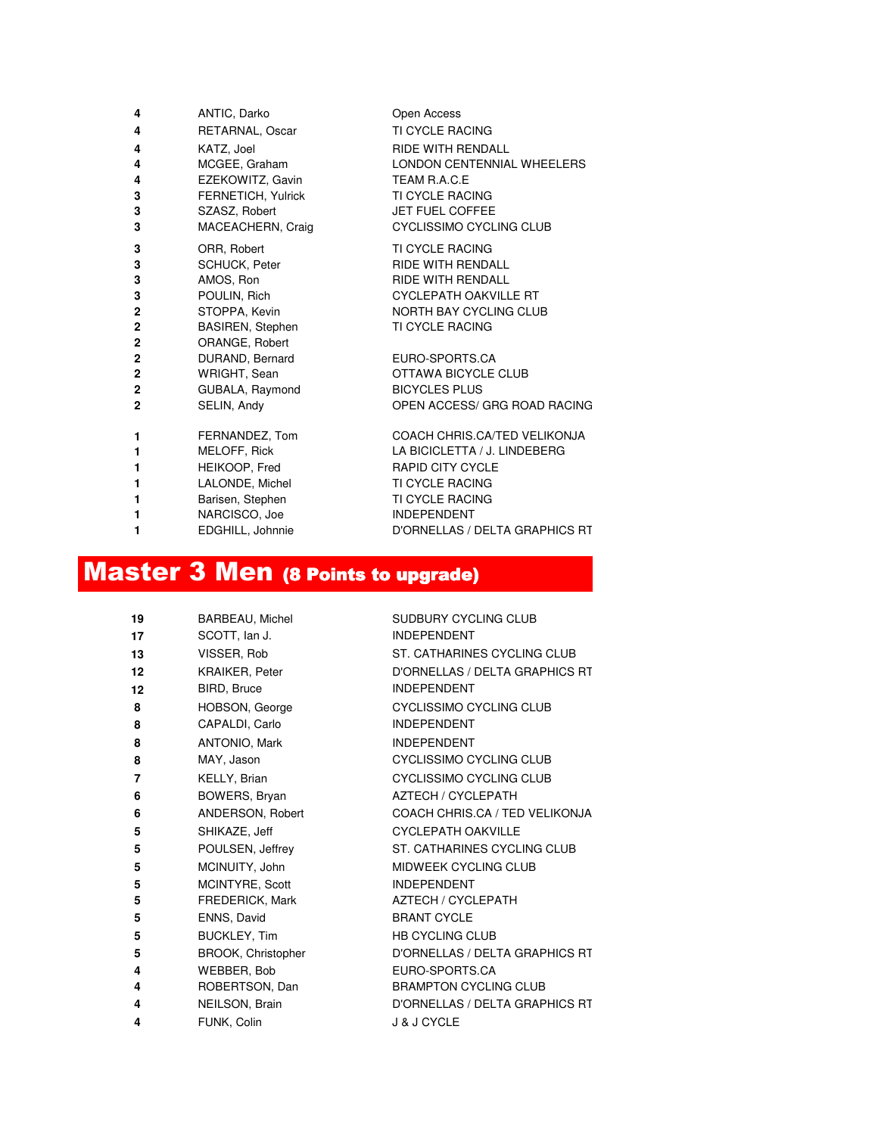| 4              | ANTIC, Darko       | Open Access                    |
|----------------|--------------------|--------------------------------|
| 4              | RETARNAL, Oscar    | <b>TI CYCLE RACING</b>         |
| 4              | KATZ, Joel         | RIDE WITH RENDALL              |
| 4              | MCGEE, Graham      | LONDON CENTENNIAL WHEELERS     |
| 4              | EZEKOWITZ, Gavin   | TEAM R.A.C.E                   |
| 3              | FERNETICH, Yulrick | <b>TI CYCLE RACING</b>         |
| 3              | SZASZ, Robert      | <b>JET FUEL COFFEE</b>         |
| 3              | MACEACHERN, Craig  | CYCLISSIMO CYCLING CLUB        |
| 3              | ORR, Robert        | <b>TI CYCLE RACING</b>         |
| 3              | SCHUCK, Peter      | <b>RIDE WITH RENDALL</b>       |
| 3              | AMOS, Ron          | <b>RIDE WITH RENDALL</b>       |
| 3              | POULIN, Rich       | <b>CYCLEPATH OAKVILLE RT</b>   |
| 2              | STOPPA, Kevin      | NORTH BAY CYCLING CLUB         |
| 2              | BASIREN, Stephen   | <b>TI CYCLE RACING</b>         |
| 2              | ORANGE, Robert     |                                |
| 2              | DURAND, Bernard    | EURO-SPORTS.CA                 |
| $\overline{2}$ | WRIGHT, Sean       | OTTAWA BICYCLE CLUB            |
| 2              | GUBALA, Raymond    | <b>BICYCLES PLUS</b>           |
| $\overline{2}$ | SELIN, Andy        | OPEN ACCESS/ GRG ROAD RACING   |
| 1              | FERNANDEZ, Tom     | COACH CHRIS.CA/TED VELIKONJA   |
| 1              | MELOFF, Rick       | LA BICICLETTA / J. LINDEBERG   |
| 1              | HEIKOOP, Fred      | <b>RAPID CITY CYCLE</b>        |
| 1              | LALONDE, Michel    | <b>TI CYCLE RACING</b>         |
| 1              | Barisen, Stephen   | <b>TI CYCLE RACING</b>         |
| 1              | NARCISCO, Joe      | <b>INDEPENDENT</b>             |
| 1              | EDGHILL, Johnnie   | D'ORNELLAS / DELTA GRAPHICS RT |
|                |                    |                                |

## Master 3 Men (8 Points to upgrade)

| 19 | <b>BARBEAU, Michel</b> | SUDBURY CYCLING CLUB           |
|----|------------------------|--------------------------------|
| 17 | SCOTT, Ian J.          | <b>INDEPENDENT</b>             |
| 13 | VISSER, Rob            | ST. CATHARINES CYCLING CLUB    |
| 12 | <b>KRAIKER, Peter</b>  | D'ORNELLAS / DELTA GRAPHICS RT |
| 12 | BIRD, Bruce            | <b>INDEPENDENT</b>             |
| 8  | HOBSON, George         | CYCLISSIMO CYCLING CLUB        |
| 8  | CAPALDI, Carlo         | <b>INDEPENDENT</b>             |
| 8  | ANTONIO, Mark          | <b>INDEPENDENT</b>             |
| 8  | MAY, Jason             | CYCLISSIMO CYCLING CLUB        |
| 7  | KELLY, Brian           | CYCLISSIMO CYCLING CLUB        |
| 6  | BOWERS, Bryan          | <b>AZTECH / CYCLEPATH</b>      |
| 6  | ANDERSON, Robert       | COACH CHRIS.CA / TED VELIKONJA |
| 5  | SHIKAZE, Jeff          | <b>CYCLEPATH OAKVILLE</b>      |
| 5  | POULSEN, Jeffrey       | ST. CATHARINES CYCLING CLUB    |
| 5  | MCINUITY, John         | MIDWEEK CYCLING CLUB           |
| 5  | MCINTYRE, Scott        | <b>INDEPENDENT</b>             |
| 5  | FREDERICK, Mark        | AZTECH / CYCLEPATH             |
| 5  | ENNS, David            | <b>BRANT CYCLE</b>             |
| 5  | BUCKLEY, Tim           | <b>HB CYCLING CLUB</b>         |
| 5  | BROOK, Christopher     | D'ORNELLAS / DELTA GRAPHICS RT |
| 4  | WEBBER, Bob            | EURO-SPORTS.CA                 |
| 4  | ROBERTSON, Dan         | <b>BRAMPTON CYCLING CLUB</b>   |
| 4  | NEILSON, Brain         | D'ORNELLAS / DELTA GRAPHICS RT |
| 4  | FUNK, Colin            | <b>J &amp; J CYCLE</b>         |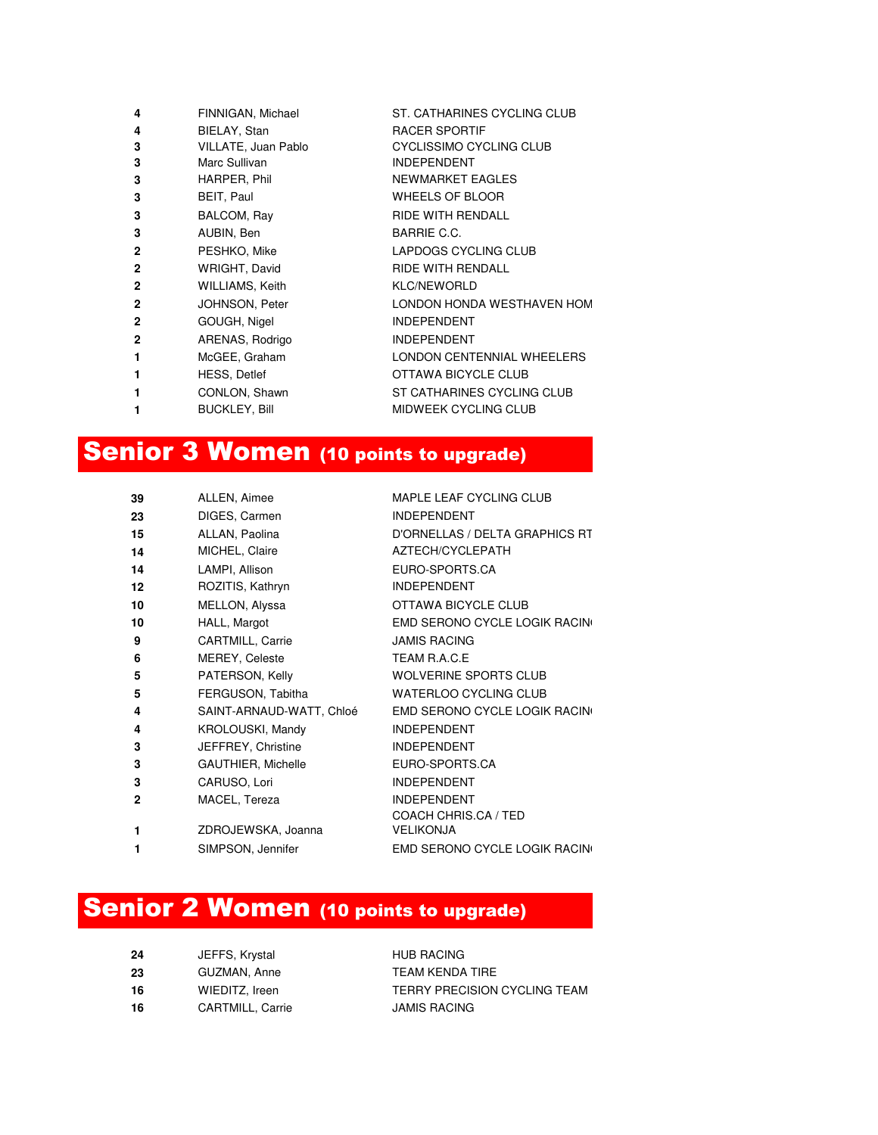| FINNIGAN, Michael    | ST. CATHARINES CYCLING CLUB |
|----------------------|-----------------------------|
| BIELAY, Stan         | <b>RACER SPORTIF</b>        |
| VILLATE, Juan Pablo  | CYCLISSIMO CYCLING CLUB     |
| Marc Sullivan        | <b>INDEPENDENT</b>          |
| HARPER, Phil         | NEWMARKET EAGLES            |
| BEIT, Paul           | <b>WHEELS OF BLOOR</b>      |
| BALCOM, Ray          | <b>RIDE WITH RENDALL</b>    |
| AUBIN, Ben           | BARRIE C.C.                 |
| PESHKO, Mike         | LAPDOGS CYCLING CLUB        |
| WRIGHT, David        | <b>RIDE WITH RENDALL</b>    |
| WILLIAMS, Keith      | <b>KLC/NEWORLD</b>          |
| JOHNSON, Peter       | LONDON HONDA WESTHAVEN HOM  |
| GOUGH, Nigel         | <b>INDEPENDENT</b>          |
| ARENAS, Rodrigo      | <b>INDEPENDENT</b>          |
| McGEE, Graham        | LONDON CENTENNIAL WHEELERS  |
| <b>HESS, Detlef</b>  | OTTAWA BICYCLE CLUB         |
| CONLON, Shawn        | ST CATHARINES CYCLING CLUB  |
| <b>BUCKLEY, Bill</b> | MIDWEEK CYCLING CLUB        |
|                      |                             |

#### Senior 3 Women (10 points to upgrade)

| 39 | ALLEN, Aimee             | MAPLE LEAF CYCLING CLUB        |
|----|--------------------------|--------------------------------|
| 23 | DIGES, Carmen            | <b>INDEPENDENT</b>             |
| 15 | ALLAN, Paolina           | D'ORNELLAS / DELTA GRAPHICS RT |
| 14 | MICHEL, Claire           | AZTECH/CYCLEPATH               |
| 14 | LAMPI, Allison           | EURO-SPORTS.CA                 |
| 12 | ROZITIS, Kathryn         | <b>INDEPENDENT</b>             |
| 10 | MELLON, Alyssa           | OTTAWA BICYCLE CLUB            |
| 10 | HALL, Margot             | EMD SERONO CYCLE LOGIK RACING  |
| 9  | <b>CARTMILL, Carrie</b>  | <b>JAMIS RACING</b>            |
| 6  | <b>MEREY, Celeste</b>    | TEAM R.A.C.E.                  |
| 5  | PATERSON, Kelly          | <b>WOLVERINE SPORTS CLUB</b>   |
| 5  | FERGUSON, Tabitha        | <b>WATERLOO CYCLING CLUB</b>   |
| 4  | SAINT-ARNAUD-WATT, Chloé | EMD SERONO CYCLE LOGIK RACING  |
| 4  | <b>KROLOUSKI, Mandy</b>  | <b>INDEPENDENT</b>             |
| 3  | JEFFREY, Christine       | <b>INDEPENDENT</b>             |
| 3  | GAUTHIER, Michelle       | EURO-SPORTS.CA                 |
| 3  | CARUSO, Lori             | <b>INDEPENDENT</b>             |
| 2  | MACEL, Tereza            | <b>INDEPENDENT</b>             |
|    |                          | COACH CHRIS.CA / TED           |
| 1  | ZDROJEWSKA, Joanna       | <b>VELIKONJA</b>               |
| 1  | SIMPSON, Jennifer        | EMD SERONO CYCLE LOGIK RACING  |

#### Senior 2 Women (10 points to upgrade)

| 24  | JEFFS, Krystal   | <b>HUB RACING</b>            |
|-----|------------------|------------------------------|
| -23 | GUZMAN, Anne     | TFAM KFNDA TIRF              |
| 16  | WIEDITZ, Ireen   | TERRY PRECISION CYCLING TEAM |
| 16  | CARTMILL, Carrie | <b>JAMIS RACING</b>          |